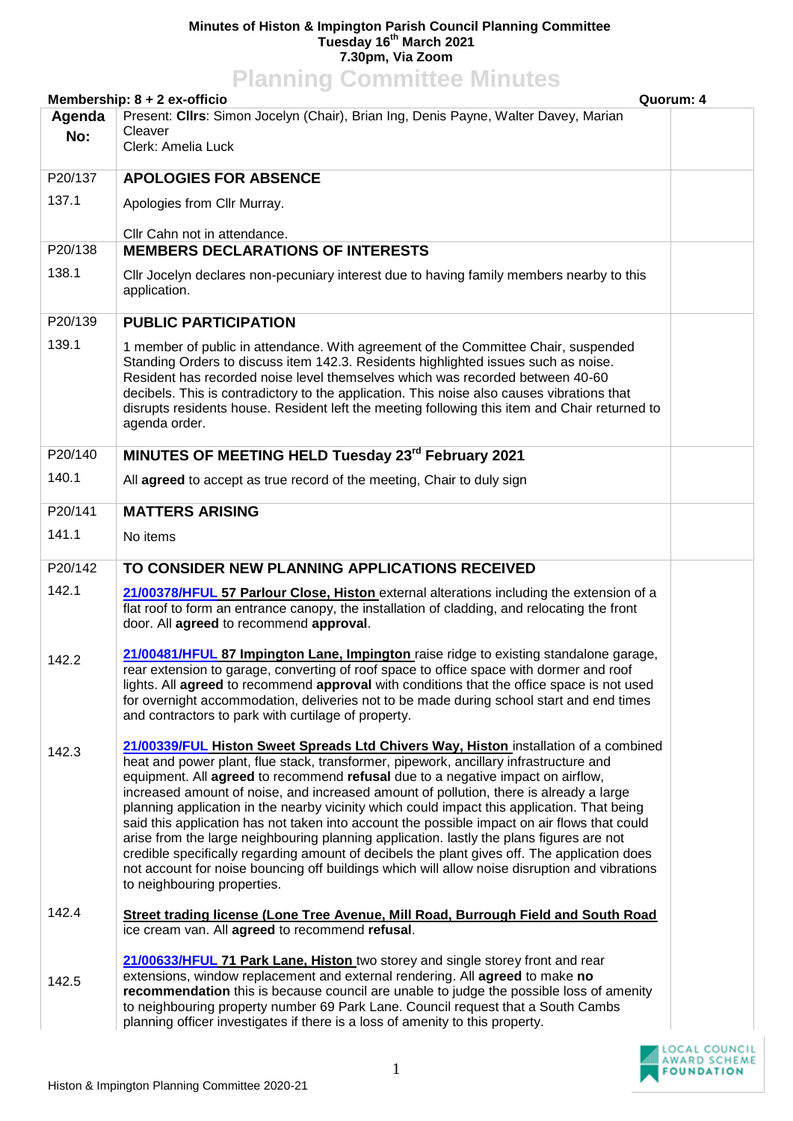## **Minutes of Histon & Impington Parish Council Planning Committee Tuesday 16th March 2021 7.30pm, Via Zoom Planning Committee Minutes**

| <b>Planning Committee Minutes</b><br>Membership: 8 + 2 ex-officio<br>Quorum: 4                |                                                                                                                                                                                                                                                                                                                                                                                                                                                                                                                                                                                                                                                                                                                                                                                                                                                                                                     |  |  |
|-----------------------------------------------------------------------------------------------|-----------------------------------------------------------------------------------------------------------------------------------------------------------------------------------------------------------------------------------------------------------------------------------------------------------------------------------------------------------------------------------------------------------------------------------------------------------------------------------------------------------------------------------------------------------------------------------------------------------------------------------------------------------------------------------------------------------------------------------------------------------------------------------------------------------------------------------------------------------------------------------------------------|--|--|
| Present: Clirs: Simon Jocelyn (Chair), Brian Ing, Denis Payne, Walter Davey, Marian<br>Agenda |                                                                                                                                                                                                                                                                                                                                                                                                                                                                                                                                                                                                                                                                                                                                                                                                                                                                                                     |  |  |
| No:                                                                                           | Cleaver                                                                                                                                                                                                                                                                                                                                                                                                                                                                                                                                                                                                                                                                                                                                                                                                                                                                                             |  |  |
|                                                                                               | Clerk: Amelia Luck                                                                                                                                                                                                                                                                                                                                                                                                                                                                                                                                                                                                                                                                                                                                                                                                                                                                                  |  |  |
| P20/137                                                                                       | <b>APOLOGIES FOR ABSENCE</b>                                                                                                                                                                                                                                                                                                                                                                                                                                                                                                                                                                                                                                                                                                                                                                                                                                                                        |  |  |
| 137.1                                                                                         | Apologies from Cllr Murray.                                                                                                                                                                                                                                                                                                                                                                                                                                                                                                                                                                                                                                                                                                                                                                                                                                                                         |  |  |
| P20/138                                                                                       | Cllr Cahn not in attendance.<br><b>MEMBERS DECLARATIONS OF INTERESTS</b>                                                                                                                                                                                                                                                                                                                                                                                                                                                                                                                                                                                                                                                                                                                                                                                                                            |  |  |
|                                                                                               |                                                                                                                                                                                                                                                                                                                                                                                                                                                                                                                                                                                                                                                                                                                                                                                                                                                                                                     |  |  |
| 138.1                                                                                         | CIIr Jocelyn declares non-pecuniary interest due to having family members nearby to this<br>application.                                                                                                                                                                                                                                                                                                                                                                                                                                                                                                                                                                                                                                                                                                                                                                                            |  |  |
| P20/139                                                                                       | <b>PUBLIC PARTICIPATION</b>                                                                                                                                                                                                                                                                                                                                                                                                                                                                                                                                                                                                                                                                                                                                                                                                                                                                         |  |  |
| 139.1                                                                                         | 1 member of public in attendance. With agreement of the Committee Chair, suspended<br>Standing Orders to discuss item 142.3. Residents highlighted issues such as noise.<br>Resident has recorded noise level themselves which was recorded between 40-60<br>decibels. This is contradictory to the application. This noise also causes vibrations that<br>disrupts residents house. Resident left the meeting following this item and Chair returned to<br>agenda order.                                                                                                                                                                                                                                                                                                                                                                                                                           |  |  |
| P20/140                                                                                       | MINUTES OF MEETING HELD Tuesday 23rd February 2021                                                                                                                                                                                                                                                                                                                                                                                                                                                                                                                                                                                                                                                                                                                                                                                                                                                  |  |  |
| 140.1                                                                                         | All agreed to accept as true record of the meeting, Chair to duly sign                                                                                                                                                                                                                                                                                                                                                                                                                                                                                                                                                                                                                                                                                                                                                                                                                              |  |  |
| P20/141                                                                                       | <b>MATTERS ARISING</b>                                                                                                                                                                                                                                                                                                                                                                                                                                                                                                                                                                                                                                                                                                                                                                                                                                                                              |  |  |
| 141.1                                                                                         | No items                                                                                                                                                                                                                                                                                                                                                                                                                                                                                                                                                                                                                                                                                                                                                                                                                                                                                            |  |  |
| P20/142                                                                                       | TO CONSIDER NEW PLANNING APPLICATIONS RECEIVED                                                                                                                                                                                                                                                                                                                                                                                                                                                                                                                                                                                                                                                                                                                                                                                                                                                      |  |  |
| 142.1                                                                                         | 21/00378/HFUL 57 Parlour Close, Histon external alterations including the extension of a<br>flat roof to form an entrance canopy, the installation of cladding, and relocating the front<br>door. All agreed to recommend approval.                                                                                                                                                                                                                                                                                                                                                                                                                                                                                                                                                                                                                                                                 |  |  |
| 142.2                                                                                         | 21/00481/HFUL 87 Impington Lane, Impington raise ridge to existing standalone garage,<br>rear extension to garage, converting of roof space to office space with dormer and roof<br>lights. All agreed to recommend approval with conditions that the office space is not used<br>for overnight accommodation, deliveries not to be made during school start and end times<br>and contractors to park with curtilage of property.                                                                                                                                                                                                                                                                                                                                                                                                                                                                   |  |  |
| 142.3                                                                                         | 21/00339/FUL Histon Sweet Spreads Ltd Chivers Way, Histon installation of a combined<br>heat and power plant, flue stack, transformer, pipework, ancillary infrastructure and<br>equipment. All <b>agreed</b> to recommend <b>refusal</b> due to a negative impact on airflow,<br>increased amount of noise, and increased amount of pollution, there is already a large<br>planning application in the nearby vicinity which could impact this application. That being<br>said this application has not taken into account the possible impact on air flows that could<br>arise from the large neighbouring planning application. lastly the plans figures are not<br>credible specifically regarding amount of decibels the plant gives off. The application does<br>not account for noise bouncing off buildings which will allow noise disruption and vibrations<br>to neighbouring properties. |  |  |
| 142.4                                                                                         | Street trading license (Lone Tree Avenue, Mill Road, Burrough Field and South Road<br>ice cream van. All agreed to recommend refusal.                                                                                                                                                                                                                                                                                                                                                                                                                                                                                                                                                                                                                                                                                                                                                               |  |  |
| 142.5                                                                                         | 21/00633/HFUL 71 Park Lane, Histon two storey and single storey front and rear<br>extensions, window replacement and external rendering. All agreed to make no<br>recommendation this is because council are unable to judge the possible loss of amenity<br>to neighbouring property number 69 Park Lane. Council request that a South Cambs<br>planning officer investigates if there is a loss of amenity to this property.                                                                                                                                                                                                                                                                                                                                                                                                                                                                      |  |  |